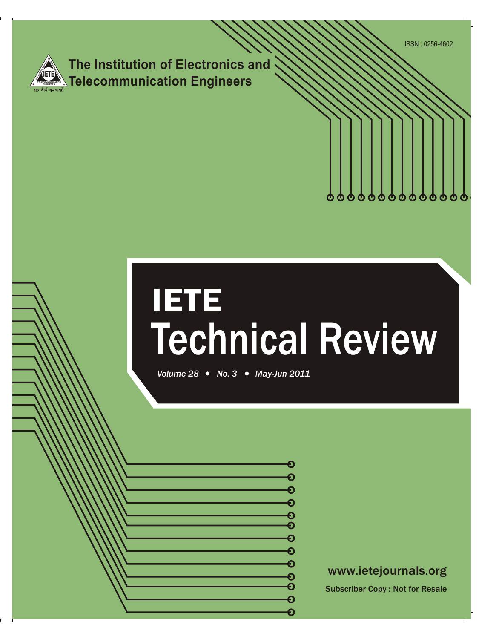

**The Institution of Electronics and Telecommunication Engineers**

# Technical Review IETE

Θ

Э

*Volume 28 No. 3 May-Jun 2011*

www.ietejournals.org

Subscriber Copy : Not for Resale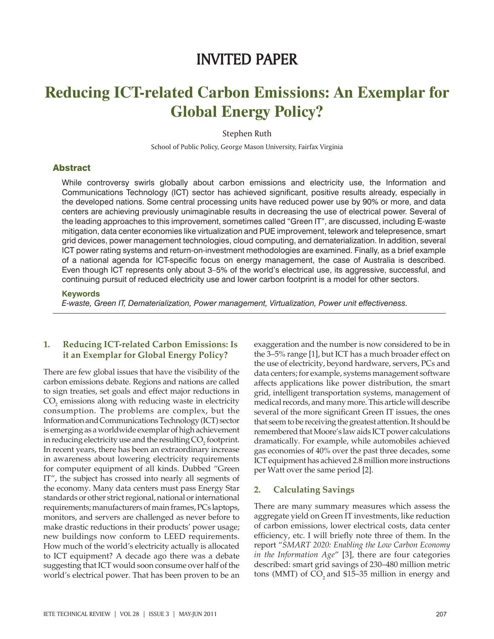# **INVITED PAPER**

# **Reducing ICT-related Carbon Emissions: An Exemplar for Global Energy Policy?**

Stephen Ruth

School of Public Policy, George Mason University, Fairfax Virginia

#### Abstract

While controversy swirls globally about carbon emissions and electricity use, the Information and Communications Technology (ICT) sector has achieved significant, positive results already, especially in the developed nations. Some central processing units have reduced power use by 90% or more, and data centers are achieving previously unimaginable results in decreasing the use of electrical power. Several of the leading approaches to this improvement, sometimes called "Green IT", are discussed, including E-waste mitigation, data center economies like virtualization and PUE improvement, telework and telepresence, smart grid devices, power management technologies, cloud computing, and dematerialization. In addition, several ICT power rating systems and return-on-investment methodologies are examined. Finally, as a brief example of a national agenda for ICT-specific focus on energy management, the case of Australia is described. Even though ICT represents only about 3–5% of the world's electrical use, its aggressive, successful, and continuing pursuit of reduced electricity use and lower carbon footprint is a model for other sectors.

#### **Keywords**

*E-waste, Green IT, Dematerialization, Power management, Virtualization, Power unit effectiveness.*

## **1. Reducing ICT-related Carbon Emissions: Is it an Exemplar for Global Energy Policy?**

There are few global issues that have the visibility of the carbon emissions debate. Regions and nations are called to sign treaties, set goals and effect major reductions in  $CO<sub>2</sub>$  emissions along with reducing waste in electricity consumption. The problems are complex, but the Information and Communications Technology (ICT) sector is emerging as a worldwide exemplar of high achievement in reducing electricity use and the resulting  $CO_{2}$  footprint. In recent years, there has been an extraordinary increase in awareness about lowering electricity requirements for computer equipment of all kinds. Dubbed "Green IT", the subject has crossed into nearly all segments of the economy. Many data centers must pass Energy Star standards or other strict regional, national or international requirements; manufacturers of main frames, PCs laptops, monitors, and servers are challenged as never before to make drastic reductions in their products' power usage; new buildings now conform to LEED requirements. How much of the world's electricity actually is allocated to ICT equipment? A decade ago there was a debate suggesting that ICT would soon consume over half of the world's electrical power. That has been proven to be an

exaggeration and the number is now considered to be in the 3–5% range [1], but ICT has a much broader effect on the use of electricity, beyond hardware, servers, PCs and data centers; for example, systems management software affects applications like power distribution, the smart grid, intelligent transportation systems, management of medical records, and many more. This article will describe several of the more significant Green IT issues, the ones that seem to be receiving the greatest attention. It should be remembered that Moore's law aids ICT power calculations dramatically. For example, while automobiles achieved gas economies of 40% over the past three decades, some ICT equipment has achieved 2.8 million more instructions per Watt over the same period [2].

#### **2. Calculating Savings**

There are many summary measures which assess the aggregate yield on Green IT investments, like reduction of carbon emissions, lower electrical costs, data center efficiency, etc. I will briefly note three of them. In the report "*SMART 2020: Enabling the Low Carbon Economy in the Information Age*" [3], there are four categories described: smart grid savings of 230–480 million metric tons (MMT) of  $CO$ , and \$15–35 million in energy and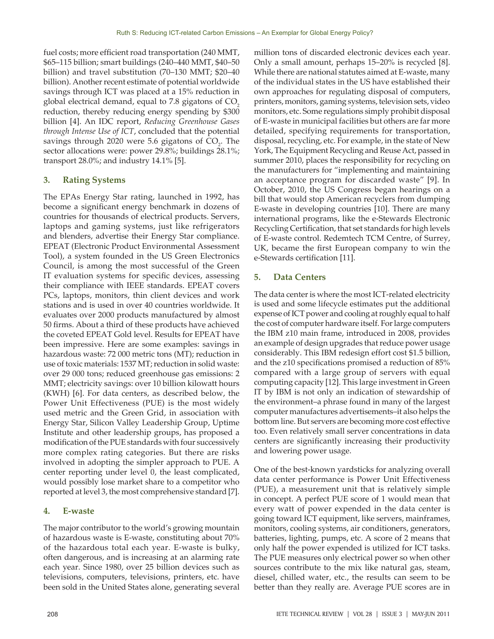fuel costs; more efficient road transportation (240 MMT, \$65–115 billion; smart buildings (240–440 MMT, \$40–50 billion) and travel substitution (70–130 MMT; \$20–40 billion). Another recent estimate of potential worldwide savings through ICT was placed at a 15% reduction in global electrical demand, equal to  $7.8$  gigatons of  $CO<sub>2</sub>$ reduction, thereby reducing energy spending by \$300 billion [4]. An IDC report, *Reducing Greenhouse Gases through Intense Use of ICT*, concluded that the potential savings through 2020 were 5.6 gigatons of  $CO<sub>2</sub>$ . The sector allocations were: power 29.8%; buildings 28.1%; transport 28.0%; and industry 14.1% [5].

### **3. Rating Systems**

The EPAs Energy Star rating, launched in 1992, has become a significant energy benchmark in dozens of countries for thousands of electrical products. Servers, laptops and gaming systems, just like refrigerators and blenders, advertise their Energy Star compliance. EPEAT (Electronic Product Environmental Assessment Tool), a system founded in the US Green Electronics Council, is among the most successful of the Green IT evaluation systems for specific devices, assessing their compliance with IEEE standards. EPEAT covers PCs, laptops, monitors, thin client devices and work stations and is used in over 40 countries worldwide. It evaluates over 2000 products manufactured by almost 50 firms. About a third of these products have achieved the coveted EPEAT Gold level. Results for EPEAT have been impressive. Here are some examples: savings in hazardous waste: 72 000 metric tons (MT); reduction in use of toxic materials: 1537 MT; reduction in solid waste: over 29 000 tons; reduced greenhouse gas emissions: 2 MMT; electricity savings: over 10 billion kilowatt hours (KWH) [6]. For data centers, as described below, the Power Unit Effectiveness (PUE) is the most widely used metric and the Green Grid, in association with Energy Star, Silicon Valley Leadership Group, Uptime Institute and other leadership groups, has proposed a modification of the PUE standards with four successively more complex rating categories. But there are risks involved in adopting the simpler approach to PUE. A center reporting under level 0, the least complicated, would possibly lose market share to a competitor who reported at level 3, the most comprehensive standard [7].

#### **4. E-waste**

The major contributor to the world's growing mountain of hazardous waste is E-waste, constituting about 70% of the hazardous total each year. E-waste is bulky, often dangerous, and is increasing at an alarming rate each year. Since 1980, over 25 billion devices such as televisions, computers, televisions, printers, etc. have been sold in the United States alone, generating several million tons of discarded electronic devices each year. Only a small amount, perhaps 15–20% is recycled [8]. While there are national statutes aimed at E-waste, many of the individual states in the US have established their own approaches for regulating disposal of computers, printers, monitors, gaming systems, television sets, video monitors, etc. Some regulations simply prohibit disposal of E-waste in municipal facilities but others are far more detailed, specifying requirements for transportation, disposal, recycling, etc. For example, in the state of New York, The Equipment Recycling and Reuse Act, passed in summer 2010, places the responsibility for recycling on the manufacturers for "implementing and maintaining an acceptance program for discarded waste" [9]. In October, 2010, the US Congress began hearings on a bill that would stop American recyclers from dumping E-waste in developing countries [10]. There are many international programs, like the e-Stewards Electronic Recycling Certification, that set standards for high levels of E-waste control. Redemtech TCM Centre, of Surrey, UK, became the first European company to win the e-Stewards certification [11].

#### **5. Data Centers**

The data center is where the most ICT-related electricity is used and some lifecycle estimates put the additional expense of ICT power and cooling at roughly equal to half the cost of computer hardware itself. For large computers the IBM z10 main frame, introduced in 2008, provides an example of design upgrades that reduce power usage considerably. This IBM redesign effort cost \$1.5 billion, and the z10 specifications promised a reduction of 85% compared with a large group of servers with equal computing capacity [12]. This large investment in Green IT by IBM is not only an indication of stewardship of the environment–a phrase found in many of the largest computer manufactures advertisements–it also helps the bottom line. But servers are becoming more cost effective too. Even relatively small server concentrations in data centers are significantly increasing their productivity and lowering power usage.

One of the best-known yardsticks for analyzing overall data center performance is Power Unit Effectiveness (PUE), a measurement unit that is relatively simple in concept. A perfect PUE score of 1 would mean that every watt of power expended in the data center is going toward ICT equipment, like servers, mainframes, monitors, cooling systems, air conditioners, generators, batteries, lighting, pumps, etc. A score of 2 means that only half the power expended is utilized for ICT tasks. The PUE measures only electrical power so when other sources contribute to the mix like natural gas, steam, diesel, chilled water, etc., the results can seem to be better than they really are. Average PUE scores are in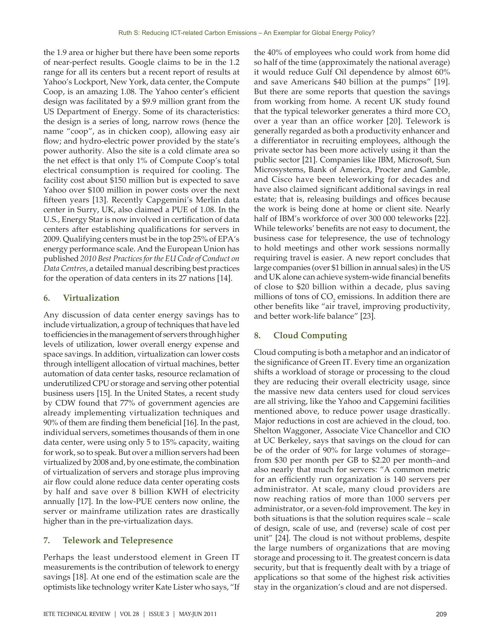the 1.9 area or higher but there have been some reports of near-perfect results. Google claims to be in the 1.2 range for all its centers but a recent report of results at Yahoo's Lockport, New York, data center, the Compute Coop, is an amazing 1.08. The Yahoo center's efficient design was facilitated by a \$9.9 million grant from the US Department of Energy. Some of its characteristics: the design is a series of long, narrow rows (hence the name "coop", as in chicken coop), allowing easy air flow; and hydro-electric power provided by the state's power authority. Also the site is a cold climate area so the net effect is that only 1% of Compute Coop's total electrical consumption is required for cooling. The facility cost about \$150 million but is expected to save Yahoo over \$100 million in power costs over the next fifteen years [13]. Recently Capgemini's Merlin data center in Surry, UK, also claimed a PUE of 1.08. In the U.S., Energy Star is now involved in certification of data centers after establishing qualifications for servers in 2009. Qualifying centers must be in the top 25% of EPA's energy performance scale. And the European Union has published *2010 Best Practices for the EU Code of Conduct on Data Centres*, a detailed manual describing best practices for the operation of data centers in its 27 nations [14].

# **6. Virtualization**

Any discussion of data center energy savings has to include virtualization, a group of techniques that have led to efficiencies in the management of servers through higher levels of utilization, lower overall energy expense and space savings. In addition, virtualization can lower costs through intelligent allocation of virtual machines, better automation of data center tasks, resource reclamation of underutilized CPU or storage and serving other potential business users [15]. In the United States, a recent study by CDW found that 77% of government agencies are already implementing virtualization techniques and 90% of them are finding them beneficial [16]. In the past, individual servers, sometimes thousands of them in one data center, were using only 5 to 15% capacity, waiting for work, so to speak. But over a million servers had been virtualized by 2008 and, by one estimate, the combination of virtualization of servers and storage plus improving air flow could alone reduce data center operating costs by half and save over 8 billion KWH of electricity annually [17]. In the low-PUE centers now online, the server or mainframe utilization rates are drastically higher than in the pre-virtualization days.

# **7. Telework and Telepresence**

Perhaps the least understood element in Green IT measurements is the contribution of telework to energy savings [18]. At one end of the estimation scale are the optimists like technology writer Kate Lister who says, "If the 40% of employees who could work from home did so half of the time (approximately the national average) it would reduce Gulf Oil dependence by almost 60% and save Americans \$40 billion at the pumps" [19]. But there are some reports that question the savings from working from home. A recent UK study found that the typical teleworker generates a third more  $CO<sub>2</sub>$ over a year than an office worker [20]. Telework is generally regarded as both a productivity enhancer and a differentiator in recruiting employees, although the private sector has been more actively using it than the public sector [21]. Companies like IBM, Microsoft, Sun Microsystems, Bank of America, Procter and Gamble, and Cisco have been teleworking for decades and have also claimed significant additional savings in real estate; that is, releasing buildings and offices because the work is being done at home or client site. Nearly half of IBM's workforce of over 300 000 teleworks [22]. While teleworks' benefits are not easy to document, the business case for telepresence, the use of technology to hold meetings and other work sessions normally requiring travel is easier. A new report concludes that large companies (over \$1 billion in annual sales) in the US and UK alone can achieve system-wide financial benefits of close to \$20 billion within a decade, plus saving millions of tons of  $CO<sub>2</sub>$  emissions. In addition there are other benefits like "air travel, improving productivity, and better work-life balance" [23].

# **8. Cloud Computing**

Cloud computing is both a metaphor and an indicator of the significance of Green IT. Every time an organization shifts a workload of storage or processing to the cloud they are reducing their overall electricity usage, since the massive new data centers used for cloud services are all striving, like the Yahoo and Capgemini facilities mentioned above, to reduce power usage drastically. Major reductions in cost are achieved in the cloud, too. Shelton Waggoner, Associate Vice Chancellor and CIO at UC Berkeley, says that savings on the cloud for can be of the order of 90% for large volumes of storage– from \$30 per month per GB to \$2.20 per month–and also nearly that much for servers: "A common metric for an efficiently run organization is 140 servers per administrator. At scale, many cloud providers are now reaching ratios of more than 1000 servers per administrator, or a seven-fold improvement. The key in both situations is that the solution requires scale – scale of design, scale of use, and (reverse) scale of cost per unit" [24]. The cloud is not without problems, despite the large numbers of organizations that are moving storage and processing to it. The greatest concern is data security, but that is frequently dealt with by a triage of applications so that some of the highest risk activities stay in the organization's cloud and are not dispersed.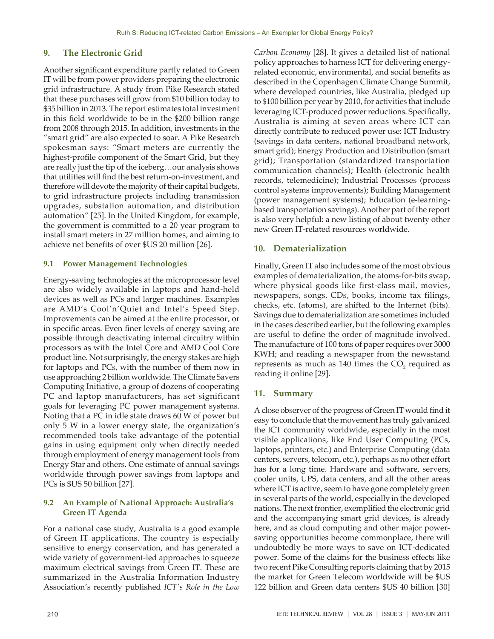# **9. The Electronic Grid**

Another significant expenditure partly related to Green IT will be from power providers preparing the electronic grid infrastructure. A study from Pike Research stated that these purchases will grow from \$10 billion today to \$35 billion in 2013. The report estimates total investment in this field worldwide to be in the \$200 billion range from 2008 through 2015. In addition, investments in the "smart grid" are also expected to soar. A Pike Research spokesman says: "Smart meters are currently the highest-profile component of the Smart Grid, but they are really just the tip of the iceberg…our analysis shows that utilities will find the best return-on-investment, and therefore will devote the majority of their capital budgets, to grid infrastructure projects including transmission upgrades, substation automation, and distribution automation" [25]. In the United Kingdom, for example, the government is committed to a 20 year program to install smart meters in 27 million homes, and aiming to achieve net benefits of over \$US 20 million [26].

#### **9.1 Power Management Technologies**

Energy-saving technologies at the microprocessor level are also widely available in laptops and hand-held devices as well as PCs and larger machines. Examples are AMD's Cool'n'Quiet and Intel's Speed Step. Improvements can be aimed at the entire processor, or in specific areas. Even finer levels of energy saving are possible through deactivating internal circuitry within processors as with the Intel Core and AMD Cool Core product line. Not surprisingly, the energy stakes are high for laptops and PCs, with the number of them now in use approaching 2 billion worldwide. The Climate Savers Computing Initiative, a group of dozens of cooperating PC and laptop manufacturers, has set significant goals for leveraging PC power management systems. Noting that a PC in idle state draws 60 W of power but only 5 W in a lower energy state, the organization's recommended tools take advantage of the potential gains in using equipment only when directly needed through employment of energy management tools from Energy Star and others. One estimate of annual savings worldwide through power savings from laptops and PCs is \$US 50 billion [27].

### **9.2 An Example of National Approach: Australia's Green IT Agenda**

For a national case study, Australia is a good example of Green IT applications. The country is especially sensitive to energy conservation, and has generated a wide variety of government-led approaches to squeeze maximum electrical savings from Green IT. These are summarized in the Australia Information Industry Association's recently published *ICT's Role in the Low*  *Carbon Economy* [28]*.* It gives a detailed list of national policy approaches to harness ICT for delivering energyrelated economic, environmental, and social benefits as described in the Copenhagen Climate Change Summit, where developed countries, like Australia, pledged up to \$100 billion per year by 2010, for activities that include leveraging ICT-produced power reductions. Specifically, Australia is aiming at seven areas where ICT can directly contribute to reduced power use: ICT Industry (savings in data centers, national broadband network, smart grid); Energy Production and Distribution (smart grid); Transportation (standardized transportation communication channels); Health (electronic health records, telemedicine); Industrial Processes (process control systems improvements); Building Management (power management systems); Education (e-learningbased transportation savings). Another part of the report is also very helpful: a new listing of about twenty other new Green IT-related resources worldwide.

# **10. Dematerialization**

Finally, Green IT also includes some of the most obvious examples of dematerialization, the atoms-for-bits swap, where physical goods like first-class mail, movies, newspapers, songs, CDs, books, income tax filings, checks, etc. (atoms), are shifted to the Internet (bits). Savings due to dematerialization are sometimes included in the cases described earlier, but the following examples are useful to define the order of magnitude involved. The manufacture of 100 tons of paper requires over 3000 KWH; and reading a newspaper from the newsstand represents as much as  $140$  times the  $CO<sub>2</sub>$  required as reading it online [29].

# **11. Summary**

A close observer of the progress of Green IT would find it easy to conclude that the movement has truly galvanized the ICT community worldwide, especially in the most visible applications, like End User Computing (PCs, laptops, printers, etc.) and Enterprise Computing (data centers, servers, telecom, etc.), perhaps as no other effort has for a long time. Hardware and software, servers, cooler units, UPS, data centers, and all the other areas where ICT is active, seem to have gone completely green in several parts of the world, especially in the developed nations. The next frontier, exemplified the electronic grid and the accompanying smart grid devices, is already here, and as cloud computing and other major powersaving opportunities become commonplace, there will undoubtedly be more ways to save on ICT-dedicated power. Some of the claims for the business effects like two recent Pike Consulting reports claiming that by 2015 the market for Green Telecom worldwide will be \$US 122 billion and Green data centers \$US 40 billion [30]